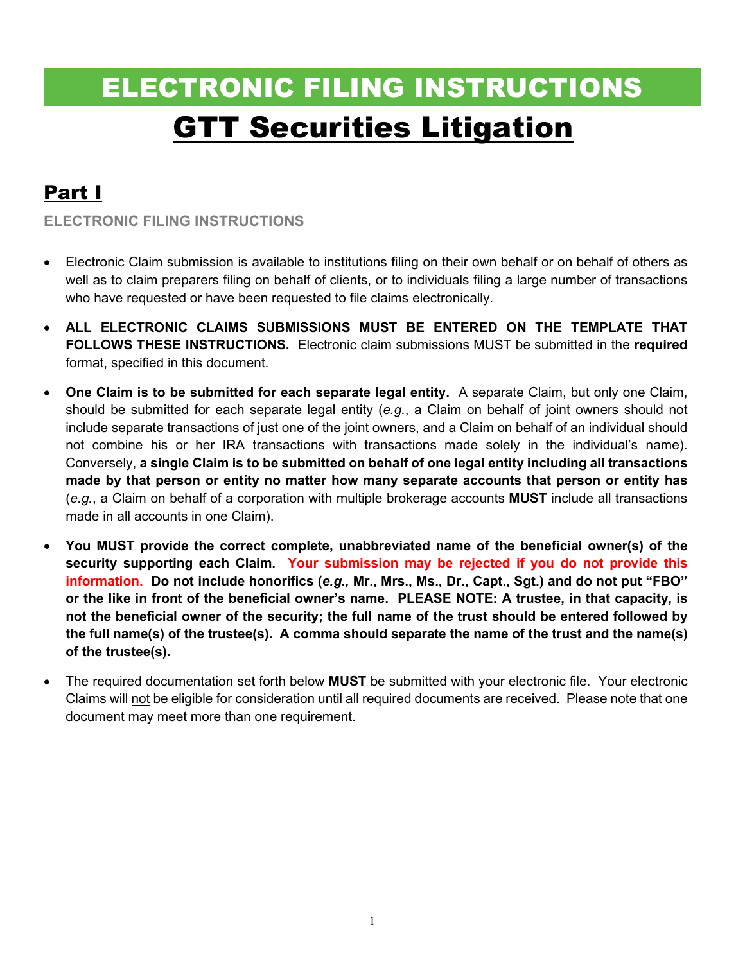# ELECTRONIC FILING INSTRUCTIONS GTT Securities Litigation

## Part I

**ELECTRONIC FILING INSTRUCTIONS** 

- Electronic Claim submission is available to institutions filing on their own behalf or on behalf of others as well as to claim preparers filing on behalf of clients, or to individuals filing a large number of transactions who have requested or have been requested to file claims electronically.
- **ALL ELECTRONIC CLAIMS SUBMISSIONS MUST BE ENTERED ON THE TEMPLATE THAT FOLLOWS THESE INSTRUCTIONS.** Electronic claim submissions MUST be submitted in the **required** format, specified in this document.
- **One Claim is to be submitted for each separate legal entity.** A separate Claim, but only one Claim, should be submitted for each separate legal entity (*e.g.*, a Claim on behalf of joint owners should not include separate transactions of just one of the joint owners, and a Claim on behalf of an individual should not combine his or her IRA transactions with transactions made solely in the individual's name). Conversely, **a single Claim is to be submitted on behalf of one legal entity including all transactions made by that person or entity no matter how many separate accounts that person or entity has**  (*e.g.*, a Claim on behalf of a corporation with multiple brokerage accounts **MUST** include all transactions made in all accounts in one Claim).
- **You MUST provide the correct complete, unabbreviated name of the beneficial owner(s) of the security supporting each Claim. Your submission may be rejected if you do not provide this information. Do not include honorifics (***e.g.,* **Mr., Mrs., Ms., Dr., Capt., Sgt.) and do not put "FBO" or the like in front of the beneficial owner's name. PLEASE NOTE: A trustee, in that capacity, is not the beneficial owner of the security; the full name of the trust should be entered followed by the full name(s) of the trustee(s). A comma should separate the name of the trust and the name(s) of the trustee(s).**
- The required documentation set forth below **MUST** be submitted with your electronic file. Your electronic Claims will not be eligible for consideration until all required documents are received. Please note that one document may meet more than one requirement.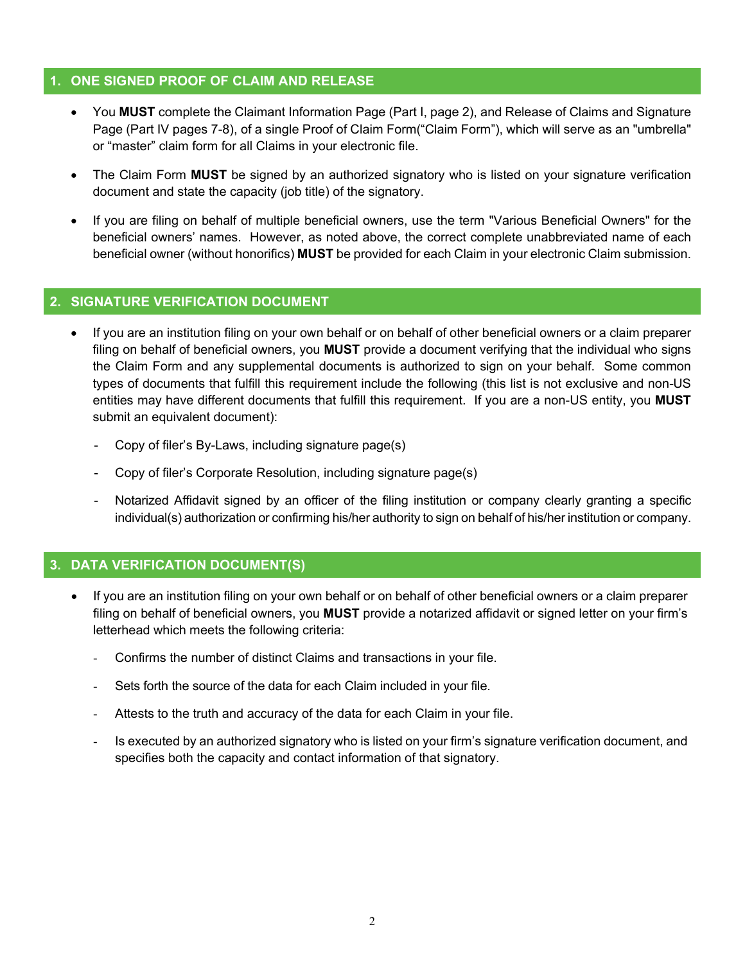#### **1. ONE SIGNED PROOF OF CLAIM AND RELEASE**

- You **MUST** complete the Claimant Information Page (Part I, page 2), and Release of Claims and Signature Page (Part IV pages 7-8), of a single Proof of Claim Form("Claim Form"), which will serve as an "umbrella" or "master" claim form for all Claims in your electronic file.
- The Claim Form **MUST** be signed by an authorized signatory who is listed on your signature verification document and state the capacity (job title) of the signatory.
- If you are filing on behalf of multiple beneficial owners, use the term "Various Beneficial Owners" for the beneficial owners' names. However, as noted above, the correct complete unabbreviated name of each beneficial owner (without honorifics) **MUST** be provided for each Claim in your electronic Claim submission.

#### **2. SIGNATURE VERIFICATION DOCUMENT**

- If you are an institution filing on your own behalf or on behalf of other beneficial owners or a claim preparer filing on behalf of beneficial owners, you **MUST** provide a document verifying that the individual who signs the Claim Form and any supplemental documents is authorized to sign on your behalf. Some common types of documents that fulfill this requirement include the following (this list is not exclusive and non-US entities may have different documents that fulfill this requirement. If you are a non-US entity, you **MUST** submit an equivalent document):
	- Copy of filer's By-Laws, including signature page(s)
	- Copy of filer's Corporate Resolution, including signature page(s)
	- Notarized Affidavit signed by an officer of the filing institution or company clearly granting a specific individual(s) authorization or confirming his/her authority to sign on behalf of his/her institution or company.

#### **3. DATA VERIFICATION DOCUMENT(S)**

- If you are an institution filing on your own behalf or on behalf of other beneficial owners or a claim preparer filing on behalf of beneficial owners, you **MUST** provide a notarized affidavit or signed letter on your firm's letterhead which meets the following criteria:
	- Confirms the number of distinct Claims and transactions in your file.
	- Sets forth the source of the data for each Claim included in your file.
	- Attests to the truth and accuracy of the data for each Claim in your file.
	- Is executed by an authorized signatory who is listed on your firm's signature verification document, and specifies both the capacity and contact information of that signatory.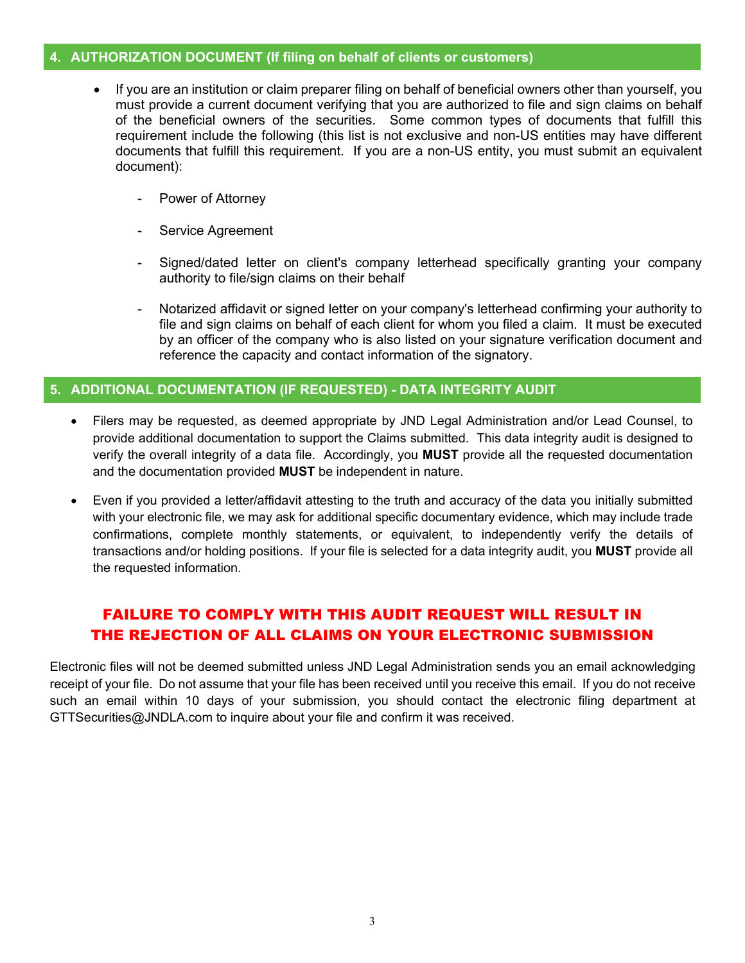#### **4. AUTHORIZATION DOCUMENT (If filing on behalf of clients or customers)**

- If you are an institution or claim preparer filing on behalf of beneficial owners other than yourself, you must provide a current document verifying that you are authorized to file and sign claims on behalf of the beneficial owners of the securities. Some common types of documents that fulfill this requirement include the following (this list is not exclusive and non-US entities may have different documents that fulfill this requirement. If you are a non-US entity, you must submit an equivalent document):
	- Power of Attorney
	- Service Agreement
	- Signed/dated letter on client's company letterhead specifically granting your company authority to file/sign claims on their behalf
	- Notarized affidavit or signed letter on your company's letterhead confirming your authority to file and sign claims on behalf of each client for whom you filed a claim. It must be executed by an officer of the company who is also listed on your signature verification document and reference the capacity and contact information of the signatory.

#### **5. ADDITIONAL DOCUMENTATION (IF REQUESTED) - DATA INTEGRITY AUDIT**

- Filers may be requested, as deemed appropriate by JND Legal Administration and/or Lead Counsel, to provide additional documentation to support the Claims submitted. This data integrity audit is designed to verify the overall integrity of a data file. Accordingly, you **MUST** provide all the requested documentation and the documentation provided **MUST** be independent in nature.
- Even if you provided a letter/affidavit attesting to the truth and accuracy of the data you initially submitted with your electronic file, we may ask for additional specific documentary evidence, which may include trade confirmations, complete monthly statements, or equivalent, to independently verify the details of transactions and/or holding positions. If your file is selected for a data integrity audit, you **MUST** provide all the requested information.

### FAILURE TO COMPLY WITH THIS AUDIT REQUEST WILL RESULT IN THE REJECTION OF ALL CLAIMS ON YOUR ELECTRONIC SUBMISSION

Electronic files will not be deemed submitted unless JND Legal Administration sends you an email acknowledging receipt of your file. Do not assume that your file has been received until you receive this email. If you do not receive such an email within 10 days of your submission, you should contact the electronic filing department at GTTSecurities@JNDLA.com to inquire about your file and confirm it was received.